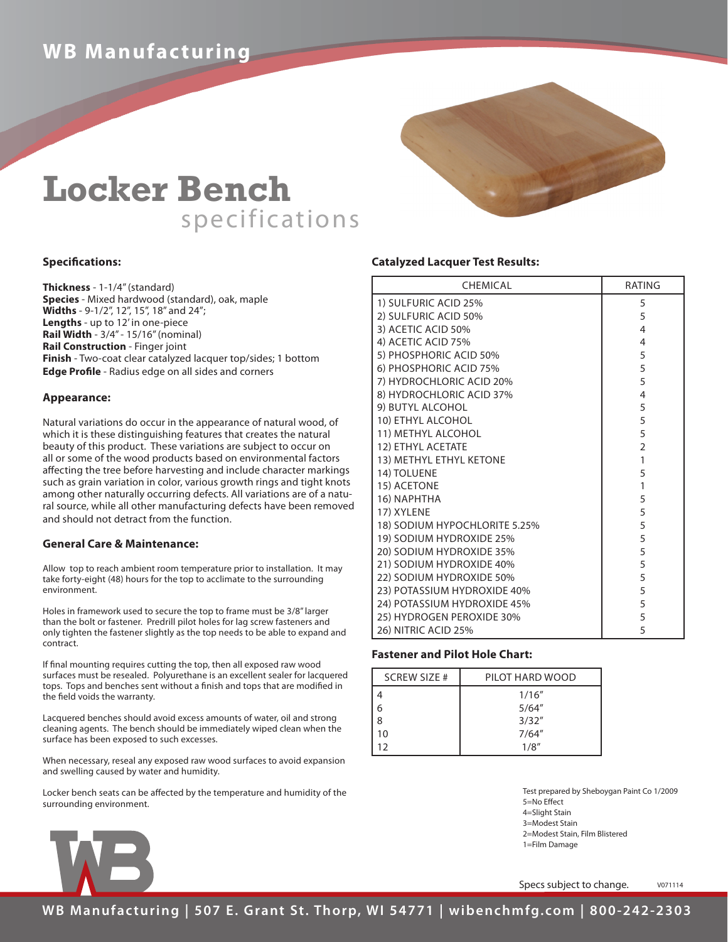# **WB Manufacturing**

# **Locker Bench** specifications

## **Specifications:**

**Thickness** - 1-1/4" (standard) **Species** - Mixed hardwood (standard), oak, maple **Widths** - 9-1/2", 12", 15", 18" and 24"; **Lengths** - up to 12' in one-piece **Rail Width** - 3/4" - 15/16" (nominal) **Rail Construction** - Finger joint **Finish** - Two-coat clear catalyzed lacquer top/sides; 1 bottom **Edge Profile** - Radius edge on all sides and corners

### **Appearance:**

Natural variations do occur in the appearance of natural wood, of which it is these distinguishing features that creates the natural beauty of this product. These variations are subject to occur on all or some of the wood products based on environmental factors affecting the tree before harvesting and include character markings such as grain variation in color, various growth rings and tight knots among other naturally occurring defects. All variations are of a natural source, while all other manufacturing defects have been removed and should not detract from the function.

### **General Care & Maintenance:**

Allow top to reach ambient room temperature prior to installation. It may take forty-eight (48) hours for the top to acclimate to the surrounding environment.

Holes in framework used to secure the top to frame must be 3/8" larger than the bolt or fastener. Predrill pilot holes for lag screw fasteners and only tighten the fastener slightly as the top needs to be able to expand and contract.

If final mounting requires cutting the top, then all exposed raw wood surfaces must be resealed. Polyurethane is an excellent sealer for lacquered tops. Tops and benches sent without a finish and tops that are modified in the field voids the warranty.

Lacquered benches should avoid excess amounts of water, oil and strong cleaning agents. The bench should be immediately wiped clean when the surface has been exposed to such excesses.

When necessary, reseal any exposed raw wood surfaces to avoid expansion and swelling caused by water and humidity.

Locker bench seats can be affected by the temperature and humidity of the surrounding environment.

# **Catalyzed Lacquer Test Results:**

| <b>CHEMICAL</b>               | RATING         |
|-------------------------------|----------------|
| 1) SULFURIC ACID 25%          | 5              |
| 2) SULFURIC ACID 50%          | 5              |
| 3) ACETIC ACID 50%            | $\overline{4}$ |
| 4) ACETIC ACID 75%            | 4              |
| 5) PHOSPHORIC ACID 50%        | 5              |
| 6) PHOSPHORIC ACID 75%        | 5              |
| 7) HYDROCHLORIC ACID 20%      | 5              |
| 8) HYDROCHLORIC ACID 37%      | 4              |
| 9) BUTYL ALCOHOL              | 5              |
| 10) ETHYL ALCOHOL             | 5              |
| 11) METHYL ALCOHOL            | 5              |
| 12) ETHYL ACETATE             | $\overline{2}$ |
| 13) METHYL ETHYL KETONE       | 1              |
| 14) TOLUENE                   | 5              |
| 15) ACETONE                   | 1              |
| 16) NAPHTHA                   | 5              |
| 17) XYLENE                    | 5              |
| 18) SODIUM HYPOCHLORITE 5.25% | 5              |
| 19) SODIUM HYDROXIDE 25%      | 5              |
| 20) SODIUM HYDROXIDE 35%      | 5              |
| 21) SODIUM HYDROXIDE 40%      | 5              |
| 22) SODIUM HYDROXIDE 50%      | 5              |
| 23) POTASSIUM HYDROXIDE 40%   | 5              |
| 24) POTASSIUM HYDROXIDE 45%   | 5              |
| 25) HYDROGEN PEROXIDE 30%     | 5              |
| 26) NITRIC ACID 25%           | 5              |

### **Fastener and Pilot Hole Chart:**

| <b>SCREW SIZE #</b> | PILOT HARD WOOD |
|---------------------|-----------------|
|                     | 1/16''          |
|                     | 5/64''          |
| 8                   | 3/32''          |
| 10                  | 7/64''          |
| 12                  | 1/8''           |

Test prepared by Sheboygan Paint Co 1/2009 5=No Effect 4=Slight Stain 3=Modest Stain 2=Modest Stain, Film Blistered 1=Film Damage

Specs subject to change. v071114



**WB Manufacturing | 507 E. Grant St. Thorp, WI 54771 | wibenchmfg.com | 800-242-2303**